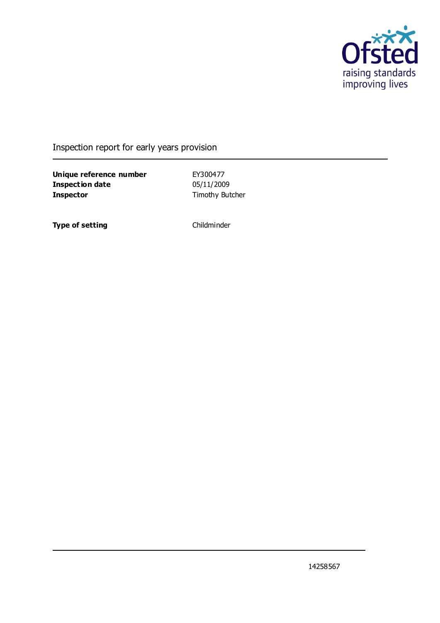

### Inspection report for early years provision

**Unique reference number** EY300477 **Inspection date** 05/11/2009 **Inspector** Timothy Butcher

**Type of setting** Childminder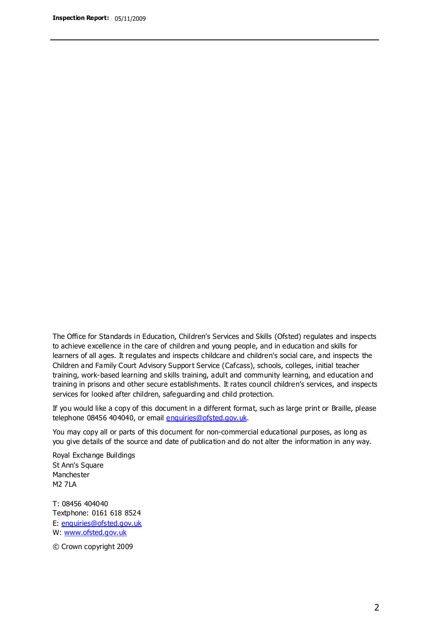The Office for Standards in Education, Children's Services and Skills (Ofsted) regulates and inspects to achieve excellence in the care of children and young people, and in education and skills for learners of all ages. It regulates and inspects childcare and children's social care, and inspects the Children and Family Court Advisory Support Service (Cafcass), schools, colleges, initial teacher training, work-based learning and skills training, adult and community learning, and education and training in prisons and other secure establishments. It rates council children's services, and inspects services for looked after children, safeguarding and child protection.

If you would like a copy of this document in a different format, such as large print or Braille, please telephone 08456 404040, or email enquiries@ofsted.gov.uk.

You may copy all or parts of this document for non-commercial educational purposes, as long as you give details of the source and date of publication and do not alter the information in any way.

Royal Exchange Buildings St Ann's Square Manchester M2 7LA

T: 08456 404040 Textphone: 0161 618 8524 E: enquiries@ofsted.gov.uk W: [www.ofsted.gov.uk](http://www.ofsted.gov.uk/)

© Crown copyright 2009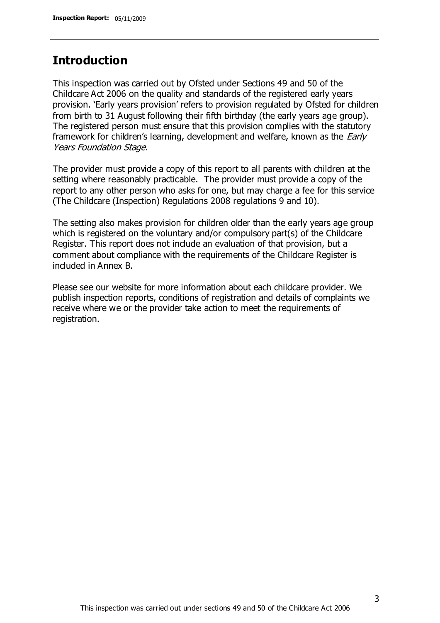### **Introduction**

This inspection was carried out by Ofsted under Sections 49 and 50 of the Childcare Act 2006 on the quality and standards of the registered early years provision. 'Early years provision' refers to provision regulated by Ofsted for children from birth to 31 August following their fifth birthday (the early years age group). The registered person must ensure that this provision complies with the statutory framework for children's learning, development and welfare, known as the *Early* Years Foundation Stage.

The provider must provide a copy of this report to all parents with children at the setting where reasonably practicable. The provider must provide a copy of the report to any other person who asks for one, but may charge a fee for this service (The Childcare (Inspection) Regulations 2008 regulations 9 and 10).

The setting also makes provision for children older than the early years age group which is registered on the voluntary and/or compulsory part(s) of the Childcare Register. This report does not include an evaluation of that provision, but a comment about compliance with the requirements of the Childcare Register is included in Annex B.

Please see our website for more information about each childcare provider. We publish inspection reports, conditions of registration and details of complaints we receive where we or the provider take action to meet the requirements of registration.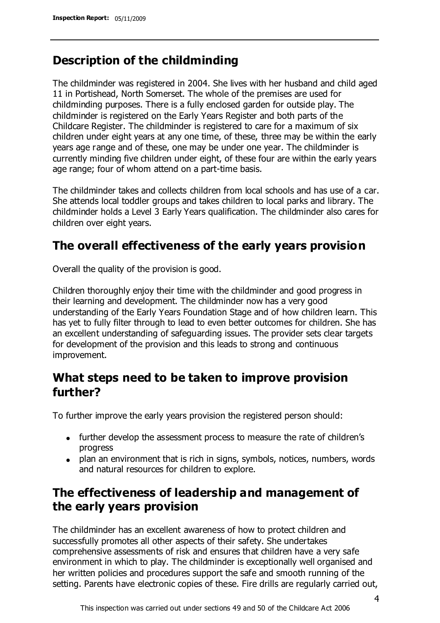## **Description of the childminding**

The childminder was registered in 2004. She lives with her husband and child aged 11 in Portishead, North Somerset. The whole of the premises are used for childminding purposes. There is a fully enclosed garden for outside play. The childminder is registered on the Early Years Register and both parts of the Childcare Register. The childminder is registered to care for a maximum of six children under eight years at any one time, of these, three may be within the early years age range and of these, one may be under one year. The childminder is currently minding five children under eight, of these four are within the early years age range; four of whom attend on a part-time basis.

The childminder takes and collects children from local schools and has use of a car. She attends local toddler groups and takes children to local parks and library. The childminder holds a Level 3 Early Years qualification. The childminder also cares for children over eight years.

### **The overall effectiveness of the early years provision**

Overall the quality of the provision is good.

Children thoroughly enjoy their time with the childminder and good progress in their learning and development. The childminder now has a very good understanding of the Early Years Foundation Stage and of how children learn. This has yet to fully filter through to lead to even better outcomes for children. She has an excellent understanding of safeguarding issues. The provider sets clear targets for development of the provision and this leads to strong and continuous improvement.

## **What steps need to be taken to improve provision further?**

To further improve the early years provision the registered person should:

- further develop the assessment process to measure the rate of children's progress
- plan an environment that is rich in signs, symbols, notices, numbers, words and natural resources for children to explore.

## **The effectiveness of leadership and management of the early years provision**

The childminder has an excellent awareness of how to protect children and successfully promotes all other aspects of their safety. She undertakes comprehensive assessments of risk and ensures that children have a very safe environment in which to play. The childminder is exceptionally well organised and her written policies and procedures support the safe and smooth running of the setting. Parents have electronic copies of these. Fire drills are regularly carried out,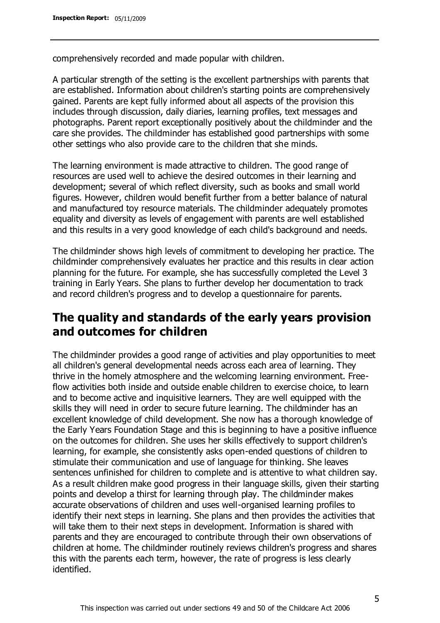comprehensively recorded and made popular with children.

A particular strength of the setting is the excellent partnerships with parents that are established. Information about children's starting points are comprehensively gained. Parents are kept fully informed about all aspects of the provision this includes through discussion, daily diaries, learning profiles, text messages and photographs. Parent report exceptionally positively about the childminder and the care she provides. The childminder has established good partnerships with some other settings who also provide care to the children that she minds.

The learning environment is made attractive to children. The good range of resources are used well to achieve the desired outcomes in their learning and development; several of which reflect diversity, such as books and small world figures. However, children would benefit further from a better balance of natural and manufactured toy resource materials. The childminder adequately promotes equality and diversity as levels of engagement with parents are well established and this results in a very good knowledge of each child's background and needs.

The childminder shows high levels of commitment to developing her practice. The childminder comprehensively evaluates her practice and this results in clear action planning for the future. For example, she has successfully completed the Level 3 training in Early Years. She plans to further develop her documentation to track and record children's progress and to develop a questionnaire for parents.

## **The quality and standards of the early years provision and outcomes for children**

The childminder provides a good range of activities and play opportunities to meet all children's general developmental needs across each area of learning. They thrive in the homely atmosphere and the welcoming learning environment. Freeflow activities both inside and outside enable children to exercise choice, to learn and to become active and inquisitive learners. They are well equipped with the skills they will need in order to secure future learning. The childminder has an excellent knowledge of child development. She now has a thorough knowledge of the Early Years Foundation Stage and this is beginning to have a positive influence on the outcomes for children. She uses her skills effectively to support children's learning, for example, she consistently asks open-ended questions of children to stimulate their communication and use of language for thinking. She leaves sentences unfinished for children to complete and is attentive to what children say. As a result children make good progress in their language skills, given their starting points and develop a thirst for learning through play. The childminder makes accurate observations of children and uses well-organised learning profiles to identify their next steps in learning. She plans and then provides the activities that will take them to their next steps in development. Information is shared with parents and they are encouraged to contribute through their own observations of children at home. The childminder routinely reviews children's progress and shares this with the parents each term, however, the rate of progress is less clearly identified.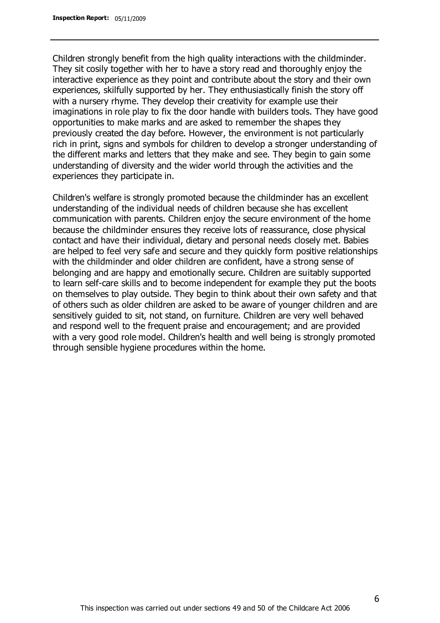Children strongly benefit from the high quality interactions with the childminder. They sit cosily together with her to have a story read and thoroughly enjoy the interactive experience as they point and contribute about the story and their own experiences, skilfully supported by her. They enthusiastically finish the story off with a nursery rhyme. They develop their creativity for example use their imaginations in role play to fix the door handle with builders tools. They have good opportunities to make marks and are asked to remember the shapes they previously created the day before. However, the environment is not particularly rich in print, signs and symbols for children to develop a stronger understanding of the different marks and letters that they make and see. They begin to gain some understanding of diversity and the wider world through the activities and the experiences they participate in.

Children's welfare is strongly promoted because the childminder has an excellent understanding of the individual needs of children because she has excellent communication with parents. Children enjoy the secure environment of the home because the childminder ensures they receive lots of reassurance, close physical contact and have their individual, dietary and personal needs closely met. Babies are helped to feel very safe and secure and they quickly form positive relationships with the childminder and older children are confident, have a strong sense of belonging and are happy and emotionally secure. Children are suitably supported to learn self-care skills and to become independent for example they put the boots on themselves to play outside. They begin to think about their own safety and that of others such as older children are asked to be aware of younger children and are sensitively guided to sit, not stand, on furniture. Children are very well behaved and respond well to the frequent praise and encouragement; and are provided with a very good role model. Children's health and well being is strongly promoted through sensible hygiene procedures within the home.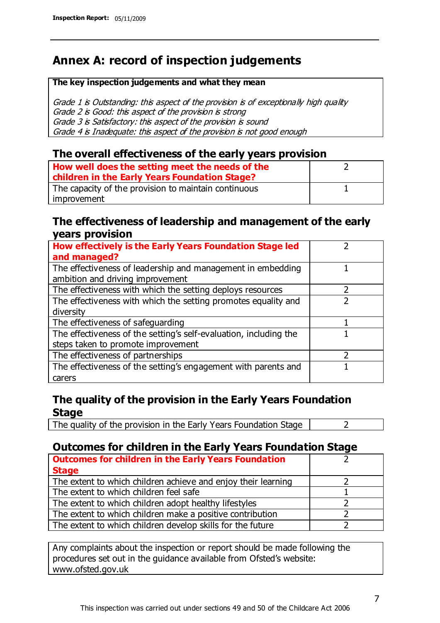## **Annex A: record of inspection judgements**

#### **The key inspection judgements and what they mean**

Grade 1 is Outstanding: this aspect of the provision is of exceptionally high quality Grade 2 is Good: this aspect of the provision is strong Grade 3 is Satisfactory: this aspect of the provision is sound Grade 4 is Inadequate: this aspect of the provision is not good enough

#### **The overall effectiveness of the early years provision**

| How well does the setting meet the needs of the<br>children in the Early Years Foundation Stage? |  |
|--------------------------------------------------------------------------------------------------|--|
| The capacity of the provision to maintain continuous                                             |  |
| improvement                                                                                      |  |

#### **The effectiveness of leadership and management of the early years provision**

| How effectively is the Early Years Foundation Stage led                                         |  |
|-------------------------------------------------------------------------------------------------|--|
| and managed?                                                                                    |  |
| The effectiveness of leadership and management in embedding<br>ambition and driving improvement |  |
| The effectiveness with which the setting deploys resources                                      |  |
| The effectiveness with which the setting promotes equality and                                  |  |
| diversity                                                                                       |  |
| The effectiveness of safeguarding                                                               |  |
| The effectiveness of the setting's self-evaluation, including the                               |  |
| steps taken to promote improvement                                                              |  |
| The effectiveness of partnerships                                                               |  |
| The effectiveness of the setting's engagement with parents and                                  |  |
| carers                                                                                          |  |

### **The quality of the provision in the Early Years Foundation Stage**

The quality of the provision in the Early Years Foundation Stage  $\vert$  2

### **Outcomes for children in the Early Years Foundation Stage**

| <b>Outcomes for children in the Early Years Foundation</b>    |  |
|---------------------------------------------------------------|--|
| <b>Stage</b>                                                  |  |
| The extent to which children achieve and enjoy their learning |  |
| The extent to which children feel safe                        |  |
| The extent to which children adopt healthy lifestyles         |  |
| The extent to which children make a positive contribution     |  |
| The extent to which children develop skills for the future    |  |

Any complaints about the inspection or report should be made following the procedures set out in the guidance available from Ofsted's website: www.ofsted.gov.uk